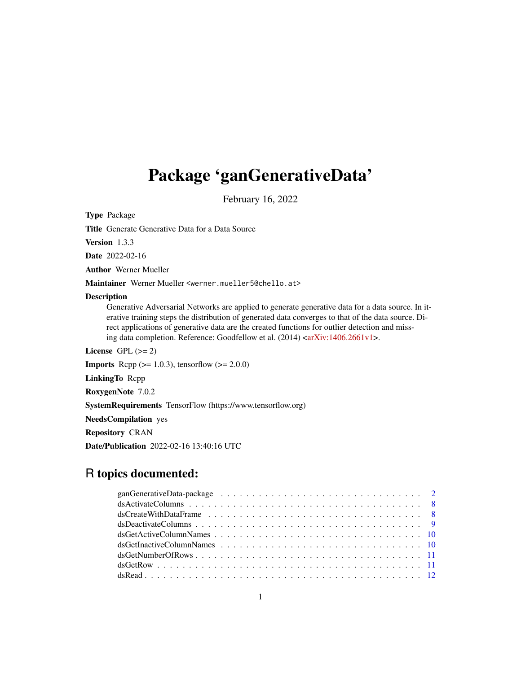## Package 'ganGenerativeData'

February 16, 2022

Type Package

Title Generate Generative Data for a Data Source

Version 1.3.3

Date 2022-02-16

Author Werner Mueller

Maintainer Werner Mueller <werner.mueller5@chello.at>

## Description

Generative Adversarial Networks are applied to generate generative data for a data source. In iterative training steps the distribution of generated data converges to that of the data source. Direct applications of generative data are the created functions for outlier detection and miss-ing data completion. Reference: Goodfellow et al. (2014) [<arXiv:1406.2661v1>](https://arxiv.org/abs/1406.2661v1).

License GPL  $(>= 2)$ 

**Imports** Rcpp ( $>= 1.0.3$ ), tensorflow ( $>= 2.0.0$ )

LinkingTo Rcpp

RoxygenNote 7.0.2

SystemRequirements TensorFlow (https://www.tensorflow.org)

NeedsCompilation yes

Repository CRAN

Date/Publication 2022-02-16 13:40:16 UTC

## R topics documented: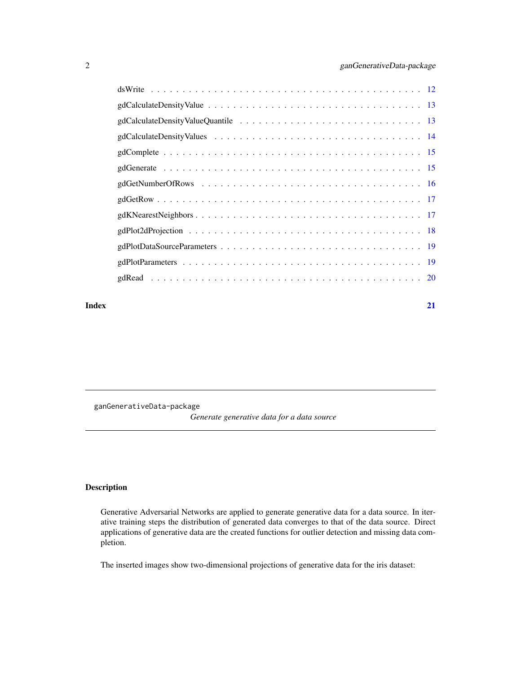<span id="page-1-0"></span>

#### **Index** [21](#page-20-0)

ganGenerativeData-package *Generate generative data for a data source*

## Description

Generative Adversarial Networks are applied to generate generative data for a data source. In iterative training steps the distribution of generated data converges to that of the data source. Direct applications of generative data are the created functions for outlier detection and missing data completion.

The inserted images show two-dimensional projections of generative data for the iris dataset: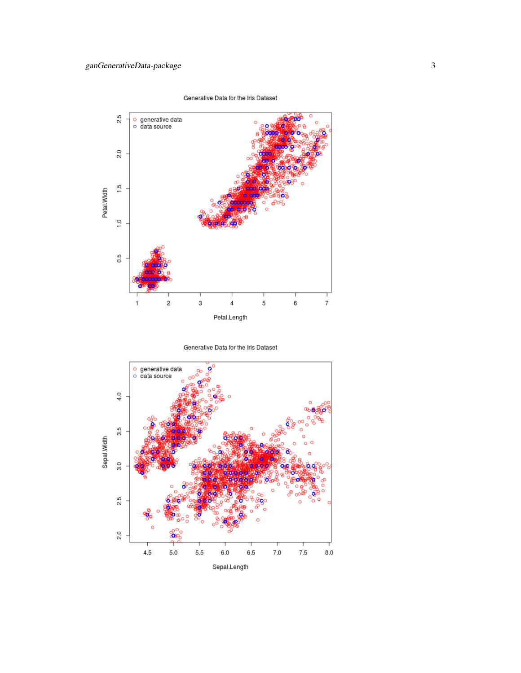

Generative Data for the Iris Dataset

Generative Data for the Iris Dataset

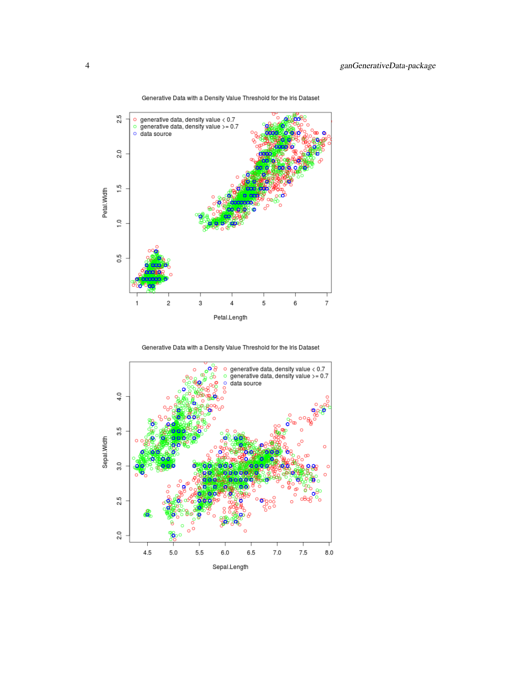

Generative Data with a Density Value Threshold for the Iris Dataset

Generative Data with a Density Value Threshold for the Iris Dataset

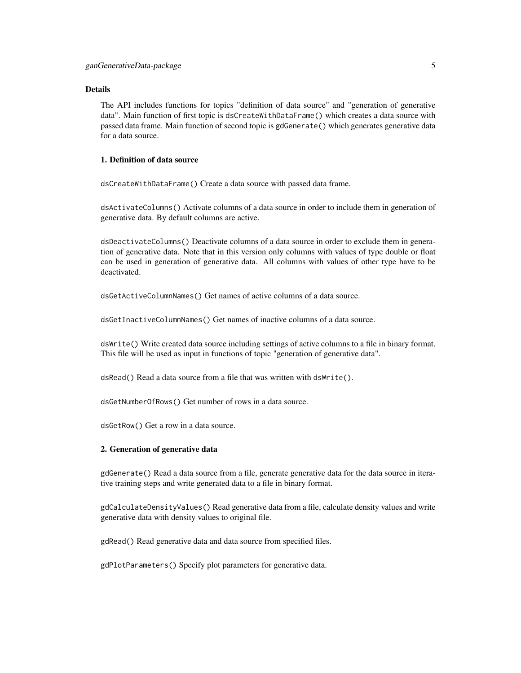#### Details

The API includes functions for topics "definition of data source" and "generation of generative data". Main function of first topic is dsCreateWithDataFrame() which creates a data source with passed data frame. Main function of second topic is gdGenerate() which generates generative data for a data source.

## 1. Definition of data source

dsCreateWithDataFrame() Create a data source with passed data frame.

dsActivateColumns() Activate columns of a data source in order to include them in generation of generative data. By default columns are active.

dsDeactivateColumns() Deactivate columns of a data source in order to exclude them in generation of generative data. Note that in this version only columns with values of type double or float can be used in generation of generative data. All columns with values of other type have to be deactivated.

dsGetActiveColumnNames() Get names of active columns of a data source.

dsGetInactiveColumnNames() Get names of inactive columns of a data source.

dsWrite() Write created data source including settings of active columns to a file in binary format. This file will be used as input in functions of topic "generation of generative data".

dsRead() Read a data source from a file that was written with dsWrite().

dsGetNumberOfRows() Get number of rows in a data source.

dsGetRow() Get a row in a data source.

## 2. Generation of generative data

gdGenerate() Read a data source from a file, generate generative data for the data source in iterative training steps and write generated data to a file in binary format.

gdCalculateDensityValues() Read generative data from a file, calculate density values and write generative data with density values to original file.

gdRead() Read generative data and data source from specified files.

gdPlotParameters() Specify plot parameters for generative data.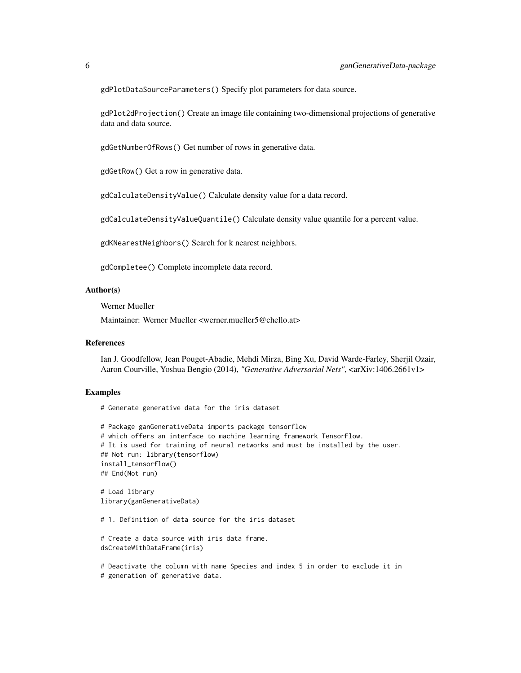gdPlotDataSourceParameters() Specify plot parameters for data source.

gdPlot2dProjection() Create an image file containing two-dimensional projections of generative data and data source.

gdGetNumberOfRows() Get number of rows in generative data.

gdGetRow() Get a row in generative data.

gdCalculateDensityValue() Calculate density value for a data record.

gdCalculateDensityValueQuantile() Calculate density value quantile for a percent value.

gdKNearestNeighbors() Search for k nearest neighbors.

gdCompletee() Complete incomplete data record.

### Author(s)

Werner Mueller

Maintainer: Werner Mueller <werner.mueller5@chello.at>

#### References

Ian J. Goodfellow, Jean Pouget-Abadie, Mehdi Mirza, Bing Xu, David Warde-Farley, Sherjil Ozair, Aaron Courville, Yoshua Bengio (2014), *"Generative Adversarial Nets"*, <arXiv:1406.2661v1>

### Examples

# Generate generative data for the iris dataset

```
# Package ganGenerativeData imports package tensorflow
# which offers an interface to machine learning framework TensorFlow.
# It is used for training of neural networks and must be installed by the user.
## Not run: library(tensorflow)
install_tensorflow()
## End(Not run)
# Load library
library(ganGenerativeData)
# 1. Definition of data source for the iris dataset
# Create a data source with iris data frame.
dsCreateWithDataFrame(iris)
```
# Deactivate the column with name Species and index 5 in order to exclude it in # generation of generative data.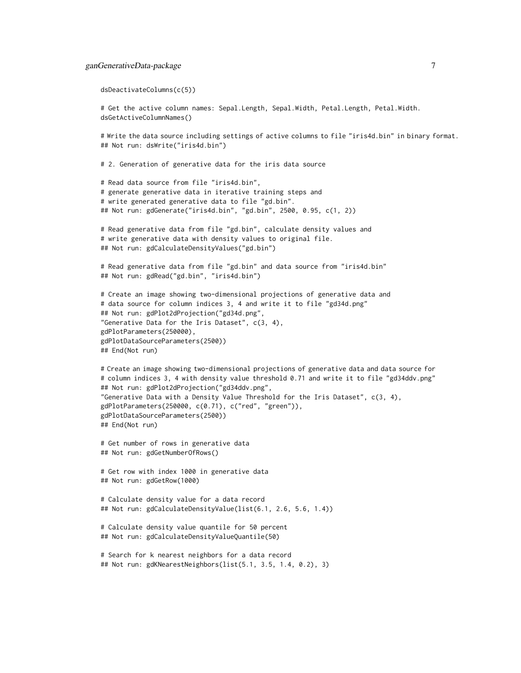### ganGenerativeData-package 7

```
dsDeactivateColumns(c(5))
```

```
# Get the active column names: Sepal.Length, Sepal.Width, Petal.Length, Petal.Width.
dsGetActiveColumnNames()
```

```
# Write the data source including settings of active columns to file "iris4d.bin" in binary format.
## Not run: dsWrite("iris4d.bin")
```

```
# 2. Generation of generative data for the iris data source
```

```
# Read data source from file "iris4d.bin",
# generate generative data in iterative training steps and
# write generated generative data to file "gd.bin".
## Not run: gdGenerate("iris4d.bin", "gd.bin", 2500, 0.95, c(1, 2))
```

```
# Read generative data from file "gd.bin", calculate density values and
# write generative data with density values to original file.
## Not run: gdCalculateDensityValues("gd.bin")
```

```
# Read generative data from file "gd.bin" and data source from "iris4d.bin"
## Not run: gdRead("gd.bin", "iris4d.bin")
```

```
# Create an image showing two-dimensional projections of generative data and
# data source for column indices 3, 4 and write it to file "gd34d.png"
## Not run: gdPlot2dProjection("gd34d.png",
"Generative Data for the Iris Dataset", c(3, 4),
gdPlotParameters(250000),
gdPlotDataSourceParameters(2500))
## End(Not run)
```

```
# Create an image showing two-dimensional projections of generative data and data source for
# column indices 3, 4 with density value threshold 0.71 and write it to file "gd34ddv.png"
## Not run: gdPlot2dProjection("gd34ddv.png",
"Generative Data with a Density Value Threshold for the Iris Dataset", c(3, 4),
gdPlotParameters(250000, c(0.71), c("red", "green")),
gdPlotDataSourceParameters(2500))
## End(Not run)
```

```
# Get number of rows in generative data
## Not run: gdGetNumberOfRows()
```

```
# Get row with index 1000 in generative data
## Not run: gdGetRow(1000)
```

```
# Calculate density value for a data record
## Not run: gdCalculateDensityValue(list(6.1, 2.6, 5.6, 1.4))
```

```
# Calculate density value quantile for 50 percent
## Not run: gdCalculateDensityValueQuantile(50)
```

```
# Search for k nearest neighbors for a data record
## Not run: gdKNearestNeighbors(list(5.1, 3.5, 1.4, 0.2), 3)
```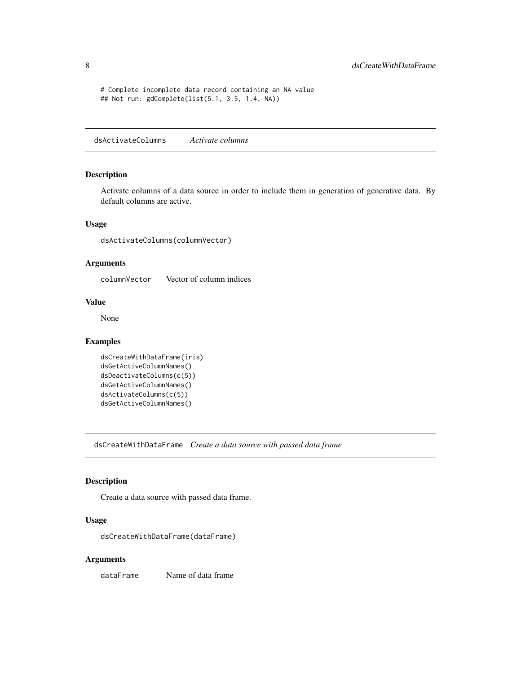# Complete incomplete data record containing an NA value ## Not run: gdComplete(list(5.1, 3.5, 1.4, NA))

dsActivateColumns *Activate columns*

## Description

Activate columns of a data source in order to include them in generation of generative data. By default columns are active.

## Usage

dsActivateColumns(columnVector)

## Arguments

columnVector Vector of column indices

#### Value

None

## Examples

```
dsCreateWithDataFrame(iris)
dsGetActiveColumnNames()
dsDeactivateColumns(c(5))
dsGetActiveColumnNames()
dsActivateColumns(c(5))
dsGetActiveColumnNames()
```
dsCreateWithDataFrame *Create a data source with passed data frame*

## Description

Create a data source with passed data frame.

#### Usage

dsCreateWithDataFrame(dataFrame)

#### Arguments

dataFrame Name of data frame

<span id="page-7-0"></span>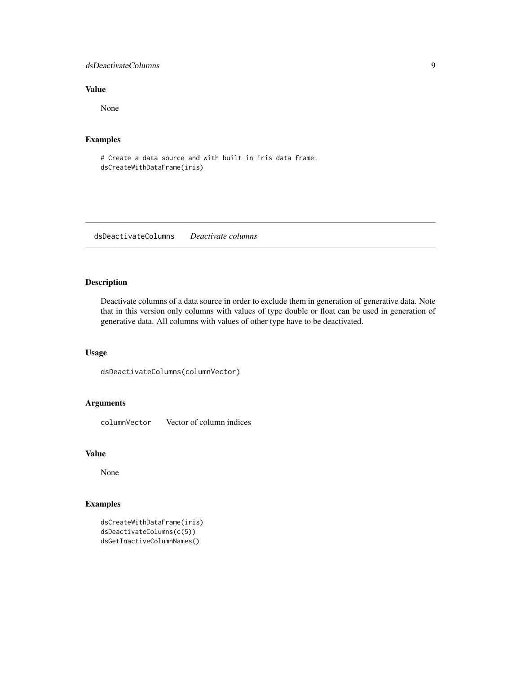## <span id="page-8-0"></span>dsDeactivateColumns 9

## Value

None

## Examples

```
# Create a data source and with built in iris data frame.
dsCreateWithDataFrame(iris)
```
dsDeactivateColumns *Deactivate columns*

## Description

Deactivate columns of a data source in order to exclude them in generation of generative data. Note that in this version only columns with values of type double or float can be used in generation of generative data. All columns with values of other type have to be deactivated.

#### Usage

```
dsDeactivateColumns(columnVector)
```
## Arguments

columnVector Vector of column indices

## Value

None

## Examples

```
dsCreateWithDataFrame(iris)
dsDeactivateColumns(c(5))
dsGetInactiveColumnNames()
```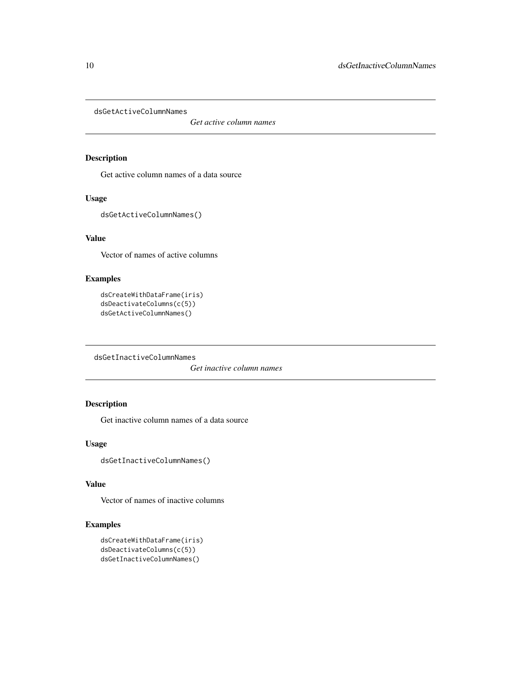<span id="page-9-0"></span>dsGetActiveColumnNames

*Get active column names*

## Description

Get active column names of a data source

### Usage

dsGetActiveColumnNames()

## Value

Vector of names of active columns

## Examples

```
dsCreateWithDataFrame(iris)
dsDeactivateColumns(c(5))
dsGetActiveColumnNames()
```
dsGetInactiveColumnNames

*Get inactive column names*

### Description

Get inactive column names of a data source

## Usage

```
dsGetInactiveColumnNames()
```
#### Value

Vector of names of inactive columns

## Examples

```
dsCreateWithDataFrame(iris)
dsDeactivateColumns(c(5))
dsGetInactiveColumnNames()
```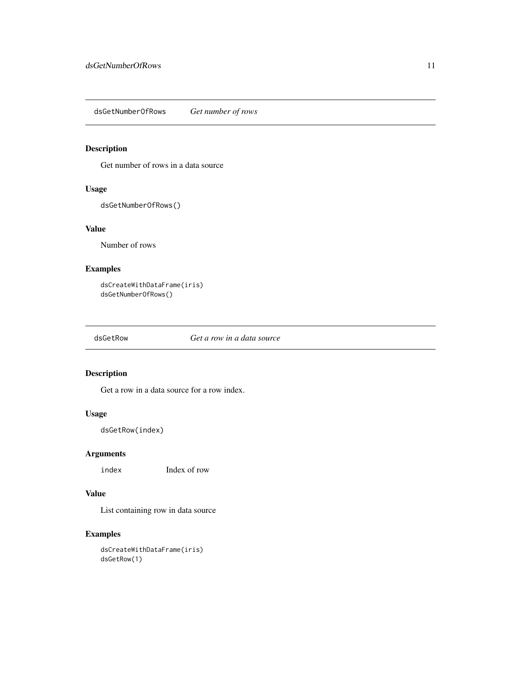<span id="page-10-0"></span>dsGetNumberOfRows *Get number of rows*

## Description

Get number of rows in a data source

## Usage

dsGetNumberOfRows()

## Value

Number of rows

## Examples

```
dsCreateWithDataFrame(iris)
dsGetNumberOfRows()
```
dsGetRow *Get a row in a data source*

## Description

Get a row in a data source for a row index.

## Usage

dsGetRow(index)

## Arguments

index Index of row

## Value

List containing row in data source

## Examples

dsCreateWithDataFrame(iris) dsGetRow(1)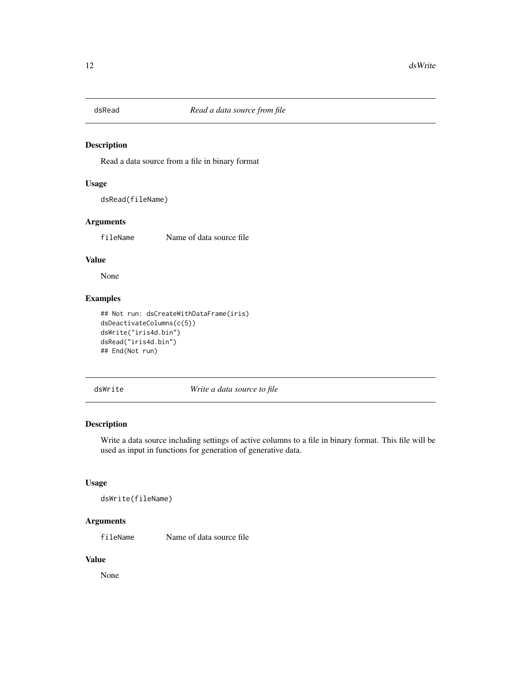<span id="page-11-0"></span>

## Description

Read a data source from a file in binary format

#### Usage

dsRead(fileName)

## Arguments

fileName Name of data source file

#### Value

None

## Examples

```
## Not run: dsCreateWithDataFrame(iris)
dsDeactivateColumns(c(5))
dsWrite("iris4d.bin")
dsRead("iris4d.bin")
## End(Not run)
```
dsWrite *Write a data source to file*

#### Description

Write a data source including settings of active columns to a file in binary format. This file will be used as input in functions for generation of generative data.

#### Usage

dsWrite(fileName)

## Arguments

fileName Name of data source file

## Value

None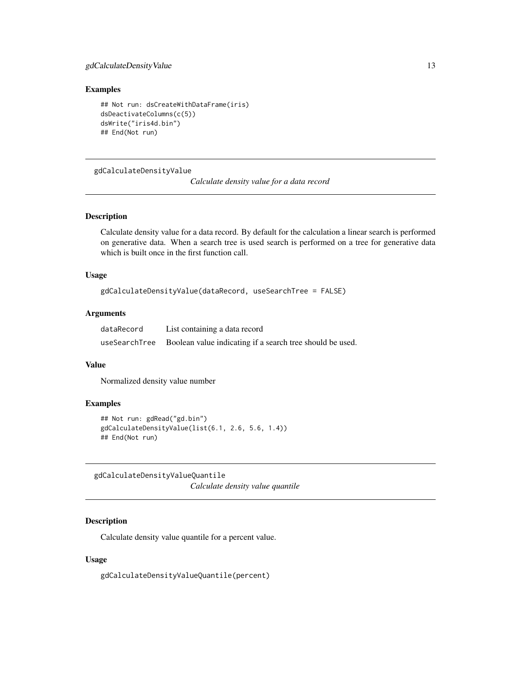## <span id="page-12-0"></span>gdCalculateDensityValue 13

#### Examples

```
## Not run: dsCreateWithDataFrame(iris)
dsDeactivateColumns(c(5))
dsWrite("iris4d.bin")
## End(Not run)
```
gdCalculateDensityValue

*Calculate density value for a data record*

## Description

Calculate density value for a data record. By default for the calculation a linear search is performed on generative data. When a search tree is used search is performed on a tree for generative data which is built once in the first function call.

## Usage

```
gdCalculateDensityValue(dataRecord, useSearchTree = FALSE)
```
## Arguments

| dataRecord    | List containing a data record                             |
|---------------|-----------------------------------------------------------|
| useSearchTree | Boolean value indicating if a search tree should be used. |

## Value

Normalized density value number

## Examples

```
## Not run: gdRead("gd.bin")
gdCalculateDensityValue(list(6.1, 2.6, 5.6, 1.4))
## End(Not run)
```
gdCalculateDensityValueQuantile *Calculate density value quantile*

## Description

Calculate density value quantile for a percent value.

#### Usage

gdCalculateDensityValueQuantile(percent)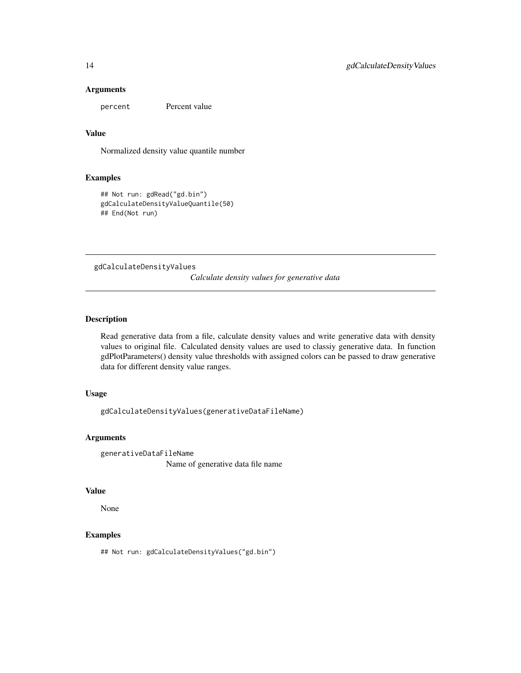#### <span id="page-13-0"></span>**Arguments**

percent Percent value

## Value

Normalized density value quantile number

## Examples

```
## Not run: gdRead("gd.bin")
gdCalculateDensityValueQuantile(50)
## End(Not run)
```
gdCalculateDensityValues

*Calculate density values for generative data*

### Description

Read generative data from a file, calculate density values and write generative data with density values to original file. Calculated density values are used to classiy generative data. In function gdPlotParameters() density value thresholds with assigned colors can be passed to draw generative data for different density value ranges.

## Usage

gdCalculateDensityValues(generativeDataFileName)

#### Arguments

generativeDataFileName

Name of generative data file name

#### Value

None

## Examples

## Not run: gdCalculateDensityValues("gd.bin")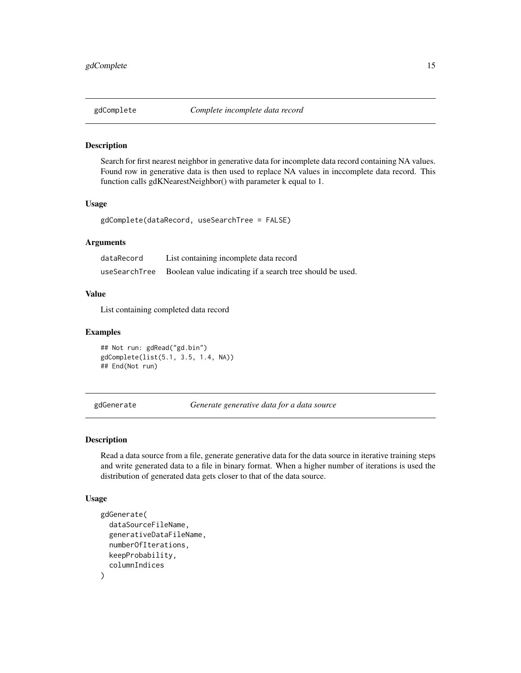<span id="page-14-0"></span>

#### Description

Search for first nearest neighbor in generative data for incomplete data record containing NA values. Found row in generative data is then used to replace NA values in inccomplete data record. This function calls gdKNearestNeighbor() with parameter k equal to 1.

#### Usage

```
gdComplete(dataRecord, useSearchTree = FALSE)
```
## Arguments

| dataRecord    | List containing incomplete data record                    |
|---------------|-----------------------------------------------------------|
| useSearchTree | Boolean value indicating if a search tree should be used. |

### Value

List containing completed data record

## Examples

```
## Not run: gdRead("gd.bin")
gdComplete(list(5.1, 3.5, 1.4, NA))
## End(Not run)
```
gdGenerate *Generate generative data for a data source*

## Description

Read a data source from a file, generate generative data for the data source in iterative training steps and write generated data to a file in binary format. When a higher number of iterations is used the distribution of generated data gets closer to that of the data source.

#### Usage

```
gdGenerate(
  dataSourceFileName,
  generativeDataFileName,
  numberOfIterations,
  keepProbability,
  columnIndices
)
```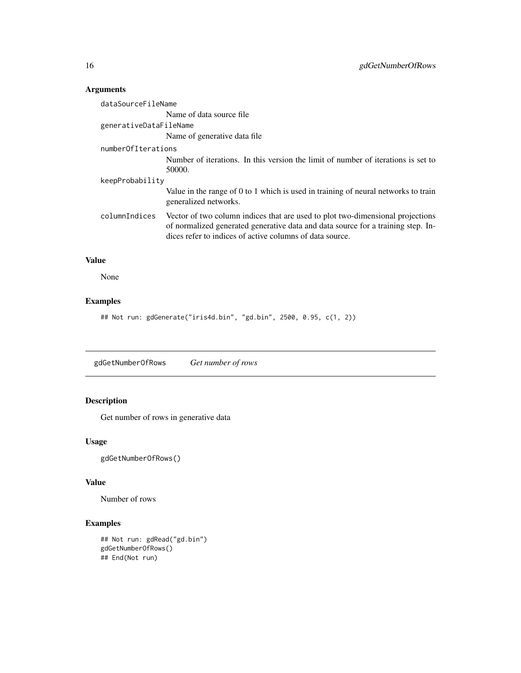## Arguments

| dataSourceFileName     |                                                                                                                                                                                                                                |
|------------------------|--------------------------------------------------------------------------------------------------------------------------------------------------------------------------------------------------------------------------------|
|                        | Name of data source file                                                                                                                                                                                                       |
| generativeDataFileName |                                                                                                                                                                                                                                |
|                        | Name of generative data file.                                                                                                                                                                                                  |
| numberOfIterations     |                                                                                                                                                                                                                                |
|                        | Number of iterations. In this version the limit of number of iterations is set to                                                                                                                                              |
|                        | 50000.                                                                                                                                                                                                                         |
| keepProbability        |                                                                                                                                                                                                                                |
|                        | Value in the range of 0 to 1 which is used in training of neural networks to train<br>generalized networks.                                                                                                                    |
| columnIndices          | Vector of two column indices that are used to plot two-dimensional projections<br>of normalized generated generative data and data source for a training step. In-<br>dices refer to indices of active columns of data source. |

## Value

None

## Examples

## Not run: gdGenerate("iris4d.bin", "gd.bin", 2500, 0.95, c(1, 2))

gdGetNumberOfRows *Get number of rows*

## Description

Get number of rows in generative data

## Usage

gdGetNumberOfRows()

## Value

Number of rows

## Examples

```
## Not run: gdRead("gd.bin")
gdGetNumberOfRows()
## End(Not run)
```
<span id="page-15-0"></span>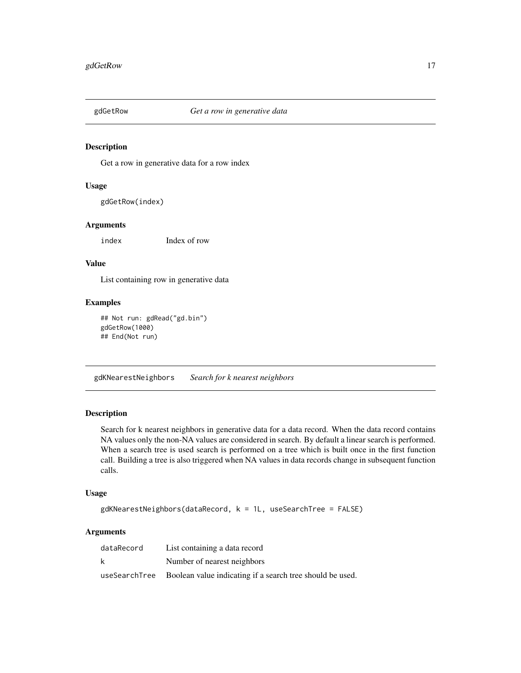<span id="page-16-0"></span>

#### Description

Get a row in generative data for a row index

#### Usage

gdGetRow(index)

## Arguments

index Index of row

## Value

List containing row in generative data

#### Examples

## Not run: gdRead("gd.bin") gdGetRow(1000) ## End(Not run)

gdKNearestNeighbors *Search for k nearest neighbors*

## Description

Search for k nearest neighbors in generative data for a data record. When the data record contains NA values only the non-NA values are considered in search. By default a linear search is performed. When a search tree is used search is performed on a tree which is built once in the first function call. Building a tree is also triggered when NA values in data records change in subsequent function calls.

#### Usage

```
gdKNearestNeighbors(dataRecord, k = 1L, useSearchTree = FALSE)
```
## Arguments

| dataRecord | List containing a data record                                           |
|------------|-------------------------------------------------------------------------|
| k          | Number of nearest neighbors                                             |
|            | useSearchTree Boolean value indicating if a search tree should be used. |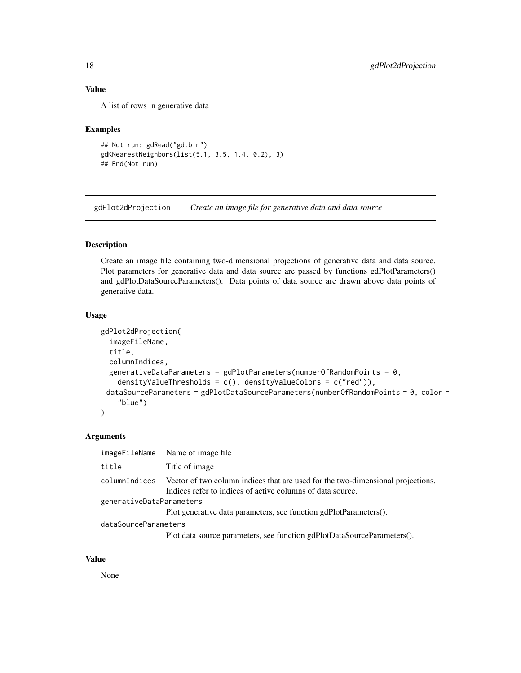### <span id="page-17-0"></span>Value

A list of rows in generative data

### Examples

```
## Not run: gdRead("gd.bin")
gdKNearestNeighbors(list(5.1, 3.5, 1.4, 0.2), 3)
## End(Not run)
```
gdPlot2dProjection *Create an image file for generative data and data source*

#### Description

Create an image file containing two-dimensional projections of generative data and data source. Plot parameters for generative data and data source are passed by functions gdPlotParameters() and gdPlotDataSourceParameters(). Data points of data source are drawn above data points of generative data.

#### Usage

```
gdPlot2dProjection(
  imageFileName,
  title,
  columnIndices,
  generativeDataParameters = gdPlotParameters(numberOfRandomPoints = 0,
    densityValueThresholds = c(), densityValueColors = c("red")),
 dataSourceParameters = gdPlotDataSourceParameters(numberOfRandomPoints = 0, color =
    "blue")
)
```
#### Arguments

| imageFileName            | Name of image file.                                                                                                                           |
|--------------------------|-----------------------------------------------------------------------------------------------------------------------------------------------|
| title                    | Title of image                                                                                                                                |
| columnIndices            | Vector of two column indices that are used for the two-dimensional projections.<br>Indices refer to indices of active columns of data source. |
| generativeDataParameters |                                                                                                                                               |
|                          | Plot generative data parameters, see function gdPlotParameters().                                                                             |
| dataSourceParameters     |                                                                                                                                               |
|                          | Plot data source parameters, see function gdPlotDataSourceParameters().                                                                       |
|                          |                                                                                                                                               |

#### Value

None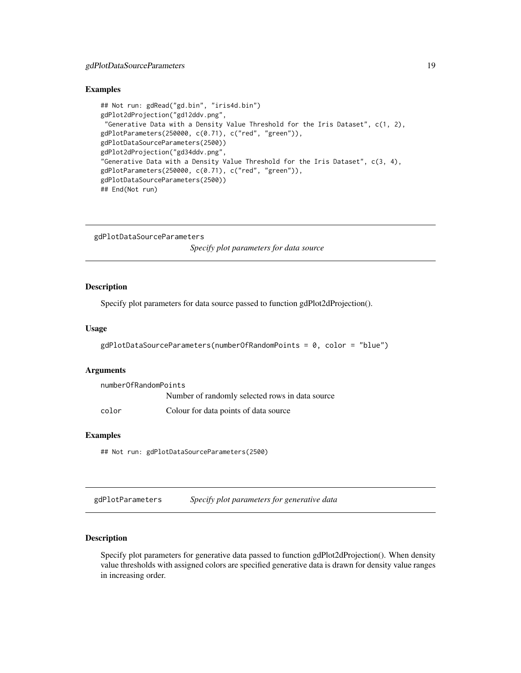## <span id="page-18-0"></span>gdPlotDataSourceParameters 19

#### Examples

```
## Not run: gdRead("gd.bin", "iris4d.bin")
gdPlot2dProjection("gd12ddv.png",
 "Generative Data with a Density Value Threshold for the Iris Dataset", c(1, 2),
gdPlotParameters(250000, c(0.71), c("red", "green")),
gdPlotDataSourceParameters(2500))
gdPlot2dProjection("gd34ddv.png",
"Generative Data with a Density Value Threshold for the Iris Dataset", c(3, 4),
gdPlotParameters(250000, c(0.71), c("red", "green")),
gdPlotDataSourceParameters(2500))
## End(Not run)
```
gdPlotDataSourceParameters *Specify plot parameters for data source*

#### **Description**

Specify plot parameters for data source passed to function gdPlot2dProjection().

#### Usage

```
gdPlotDataSourceParameters(numberOfRandomPoints = 0, color = "blue")
```
#### Arguments

| numberOfRandomPoints |                                                 |
|----------------------|-------------------------------------------------|
|                      | Number of randomly selected rows in data source |
| color                | Colour for data points of data source           |

### Examples

## Not run: gdPlotDataSourceParameters(2500)

gdPlotParameters *Specify plot parameters for generative data*

#### Description

Specify plot parameters for generative data passed to function gdPlot2dProjection(). When density value thresholds with assigned colors are specified generative data is drawn for density value ranges in increasing order.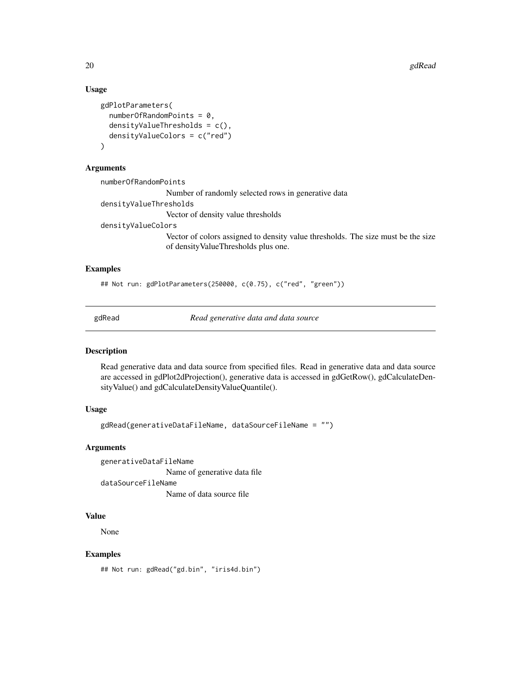#### Usage

```
gdPlotParameters(
  numberOfRandomPoints = 0,
  densityValueThresholds = c(),
  densityValueColors = c("red")
\lambda
```
## Arguments

```
numberOfRandomPoints
                  Number of randomly selected rows in generative data
densityValueThresholds
                  Vector of density value thresholds
densityValueColors
                  Vector of colors assigned to density value thresholds. The size must be the size
                  of densityValueThresholds plus one.
```
#### Examples

## Not run: gdPlotParameters(250000, c(0.75), c("red", "green"))

gdRead *Read generative data and data source*

## Description

Read generative data and data source from specified files. Read in generative data and data source are accessed in gdPlot2dProjection(), generative data is accessed in gdGetRow(), gdCalculateDensityValue() and gdCalculateDensityValueQuantile().

## Usage

```
gdRead(generativeDataFileName, dataSourceFileName = "")
```
## **Arguments**

generativeDataFileName Name of generative data file dataSourceFileName Name of data source file

#### Value

None

#### Examples

## Not run: gdRead("gd.bin", "iris4d.bin")

<span id="page-19-0"></span>